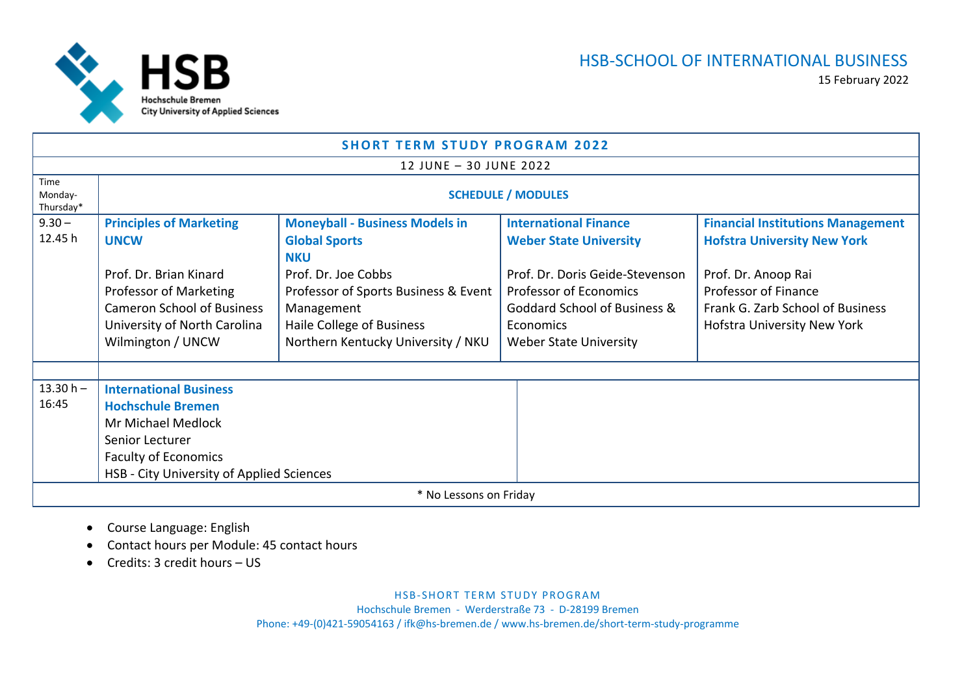

| <b>SHORT TERM STUDY PROGRAM 2022</b> |                                           |                                       |                                         |                                          |  |  |
|--------------------------------------|-------------------------------------------|---------------------------------------|-----------------------------------------|------------------------------------------|--|--|
|                                      |                                           | 12 JUNE - 30 JUNE 2022                |                                         |                                          |  |  |
| Time<br>Monday-<br>Thursday*         | <b>SCHEDULE / MODULES</b>                 |                                       |                                         |                                          |  |  |
| $9.30 -$                             | <b>Principles of Marketing</b>            | <b>Moneyball - Business Models in</b> | <b>International Finance</b>            | <b>Financial Institutions Management</b> |  |  |
| 12.45 h                              | <b>UNCW</b>                               | <b>Global Sports</b><br><b>NKU</b>    | <b>Weber State University</b>           | <b>Hofstra University New York</b>       |  |  |
|                                      | Prof. Dr. Brian Kinard                    | Prof. Dr. Joe Cobbs                   | Prof. Dr. Doris Geide-Stevenson         | Prof. Dr. Anoop Rai                      |  |  |
|                                      | Professor of Marketing                    | Professor of Sports Business & Event  | <b>Professor of Economics</b>           | Professor of Finance                     |  |  |
|                                      | <b>Cameron School of Business</b>         | Management                            | <b>Goddard School of Business &amp;</b> | Frank G. Zarb School of Business         |  |  |
|                                      | University of North Carolina              | Haile College of Business             | Economics                               | Hofstra University New York              |  |  |
|                                      | Wilmington / UNCW                         | Northern Kentucky University / NKU    | <b>Weber State University</b>           |                                          |  |  |
|                                      |                                           |                                       |                                         |                                          |  |  |
| $13.30 h -$                          | <b>International Business</b>             |                                       |                                         |                                          |  |  |
| 16:45                                | <b>Hochschule Bremen</b>                  |                                       |                                         |                                          |  |  |
|                                      | Mr Michael Medlock                        |                                       |                                         |                                          |  |  |
|                                      | Senior Lecturer                           |                                       |                                         |                                          |  |  |
|                                      | <b>Faculty of Economics</b>               |                                       |                                         |                                          |  |  |
|                                      | HSB - City University of Applied Sciences |                                       |                                         |                                          |  |  |
| * No Lessons on Friday               |                                           |                                       |                                         |                                          |  |  |

- **•** Course Language: English
- $\bullet$ Contact hours per Module: 45 contact hours
- $\bullet$ Credits: 3 credit hours – US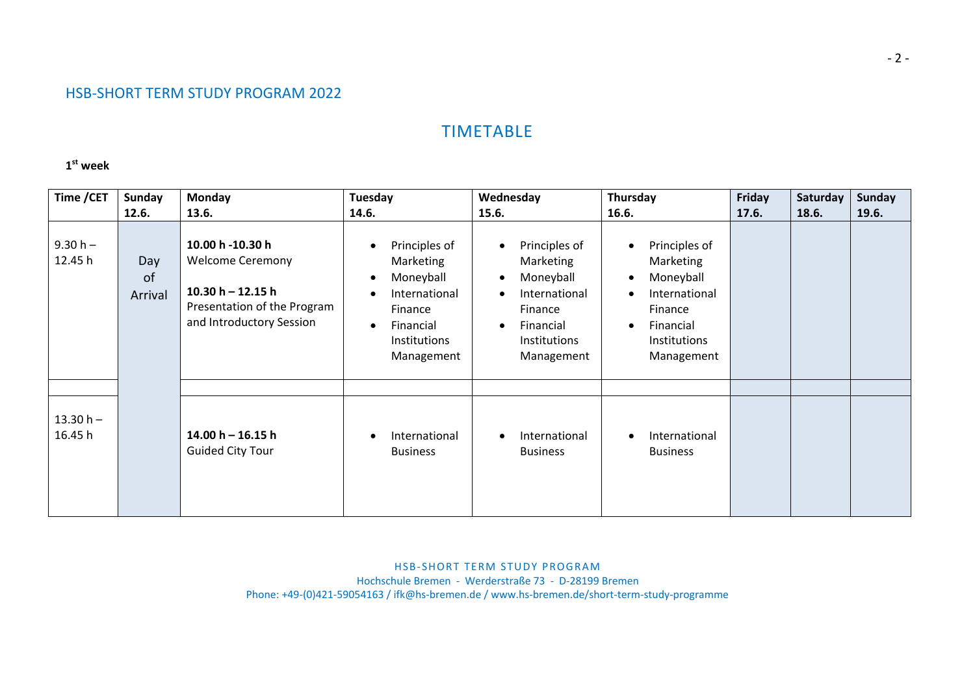## TIMETABLE

## **1st week**

| Time / CET             | Sunday<br>12.6.                 | <b>Monday</b><br>13.6.                                                                                                        | Tuesday<br>14.6.                                                                                                            | Wednesday<br>15.6.                                                                                                                                                 | Thursday<br>16.6.                                                                                                                                                  | Friday<br>17.6. | Saturday<br>18.6. | Sunday<br>19.6. |
|------------------------|---------------------------------|-------------------------------------------------------------------------------------------------------------------------------|-----------------------------------------------------------------------------------------------------------------------------|--------------------------------------------------------------------------------------------------------------------------------------------------------------------|--------------------------------------------------------------------------------------------------------------------------------------------------------------------|-----------------|-------------------|-----------------|
| $9.30 h -$<br>12.45 h  | Day<br><sub>of</sub><br>Arrival | 10.00 h -10.30 h<br><b>Welcome Ceremony</b><br>$10.30 h - 12.15 h$<br>Presentation of the Program<br>and Introductory Session | Principles of<br>Marketing<br>Moneyball<br>International<br>Finance<br>Financial<br>$\bullet$<br>Institutions<br>Management | Principles of<br>$\bullet$<br>Marketing<br>Moneyball<br>$\bullet$<br>International<br>$\bullet$<br>Finance<br>Financial<br>$\bullet$<br>Institutions<br>Management | Principles of<br>$\bullet$<br>Marketing<br>Moneyball<br>$\bullet$<br>International<br>$\bullet$<br>Finance<br>Financial<br>$\bullet$<br>Institutions<br>Management |                 |                   |                 |
| $13.30 h -$<br>16.45 h |                                 | $14.00 h - 16.15 h$<br><b>Guided City Tour</b>                                                                                | International<br><b>Business</b>                                                                                            | International<br>$\bullet$<br><b>Business</b>                                                                                                                      | International<br>$\bullet$<br><b>Business</b>                                                                                                                      |                 |                   |                 |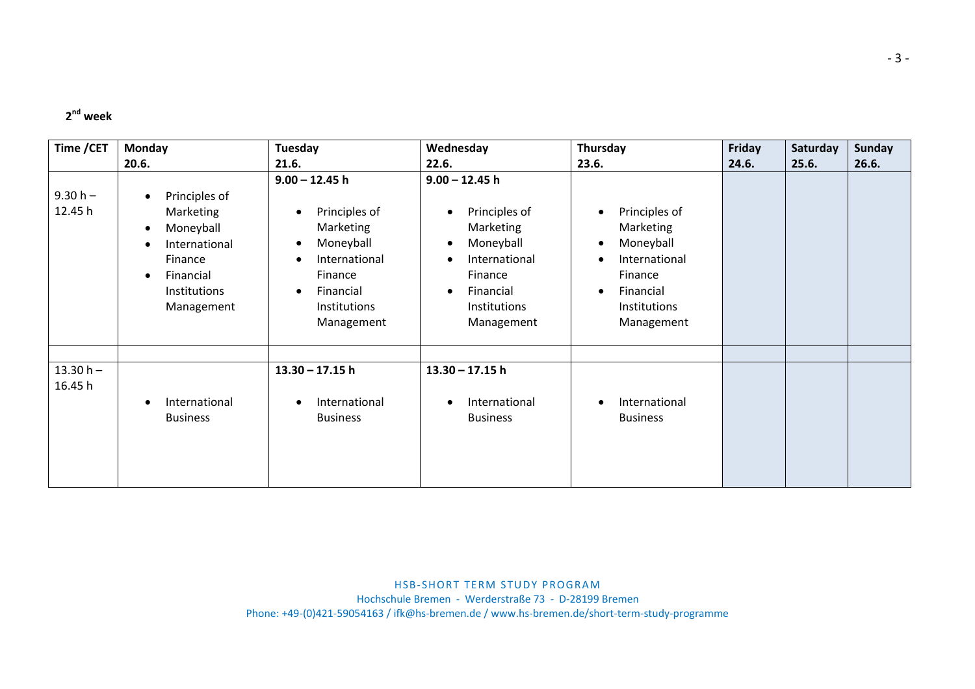## **2nd week**

| Time / CET             | Monday                                                                                                                                                       | Tuesday                                                                                                                                         | Wednesday                                                                                                                                                                 | Thursday                                                                                                       | Friday | Saturday | <b>Sunday</b> |
|------------------------|--------------------------------------------------------------------------------------------------------------------------------------------------------------|-------------------------------------------------------------------------------------------------------------------------------------------------|---------------------------------------------------------------------------------------------------------------------------------------------------------------------------|----------------------------------------------------------------------------------------------------------------|--------|----------|---------------|
|                        | 20.6.                                                                                                                                                        | 21.6.                                                                                                                                           | 22.6.                                                                                                                                                                     | 23.6.                                                                                                          | 24.6.  | 25.6.    | 26.6.         |
| $9.30 h -$<br>12.45 h  | Principles of<br>$\bullet$<br><b>Marketing</b><br>Moneyball<br>$\bullet$<br>International<br>Finance<br>Financial<br>$\bullet$<br>Institutions<br>Management | $9.00 - 12.45$ h<br>Principles of<br>Marketing<br>Moneyball<br>International<br>Finance<br>Financial<br>$\bullet$<br>Institutions<br>Management | $9.00 - 12.45$ h<br>Principles of<br>$\bullet$<br>Marketing<br>Moneyball<br>$\bullet$<br>International<br>Finance<br>Financial<br>$\bullet$<br>Institutions<br>Management | Principles of<br>Marketing<br>Moneyball<br>International<br>Finance<br>Financial<br>Institutions<br>Management |        |          |               |
| $13.30 h -$<br>16.45 h | International<br><b>Business</b>                                                                                                                             | $13.30 - 17.15$ h<br>International<br><b>Business</b>                                                                                           | $13.30 - 17.15$ h<br>International<br>$\bullet$<br><b>Business</b>                                                                                                        | International<br><b>Business</b>                                                                               |        |          |               |